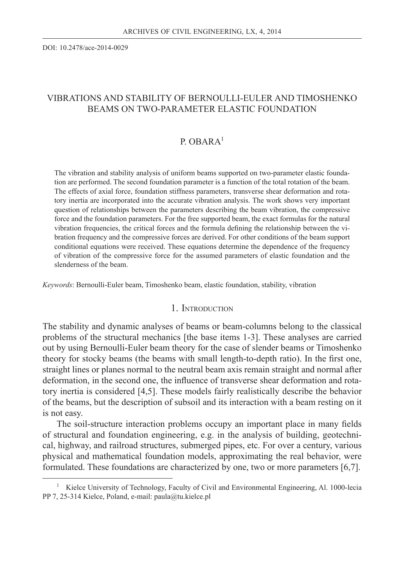DOI: 10.2478/ace-2014-0029

# VIBRATIONS AND STABILITY OF BERNOULLI-EULER AND TIMOSHENKO BEAMS ON TWO-PARAMETER ELASTIC FOUNDATION

# P. ORAR $A<sup>1</sup>$

The vibration and stability analysis of uniform beams supported on two-parameter elastic foundation are performed. The second foundation parameter is a function of the total rotation of the beam. The effects of axial force, foundation stiffness parameters, transverse shear deformation and rotatory inertia are incorporated into the accurate vibration analysis. The work shows very important question of relationships between the parameters describing the beam vibration, the compressive force and the foundation parameters. For the free supported beam, the exact formulas for the natural vibration frequencies, the critical forces and the formula defining the relationship between the vibration frequency and the compressive forces are derived. For other conditions of the beam support conditional equations were received. These equations determine the dependence of the frequency of vibration of the compressive force for the assumed parameters of elastic foundation and the slenderness of the beam.

*Keywords*: Bernoulli-Euler beam, Timoshenko beam, elastic foundation, stability, vibration

## 1. INTRODUCTION

The stability and dynamic analyses of beams or beam-columns belong to the classical problems of the structural mechanics [the base items 1-3]. These analyses are carried out by using Bernoulli-Euler beam theory for the case of slender beams or Timoshenko theory for stocky beams (the beams with small length-to-depth ratio). In the first one, straight lines or planes normal to the neutral beam axis remain straight and normal after deformation, in the second one, the influence of transverse shear deformation and rotatory inertia is considered [4,5]. These models fairly realistically describe the behavior of the beams, but the description of subsoil and its interaction with a beam resting on it is not easy.

The soil-structure interaction problems occupy an important place in many fields of structural and foundation engineering, e.g. in the analysis of building, geotechnical, highway, and railroad structures, submerged pipes, etc. For over a century, various physical and mathematical foundation models, approximating the real behavior, were formulated. These foundations are characterized by one, two or more parameters [6,7].

<sup>&</sup>lt;sup>1</sup> Kielce University of Technology, Faculty of Civil and Environmental Engineering, Al. 1000-lecia PP 7, 25-314 Kielce, Poland, e-mail: paula@tu.kielce.pl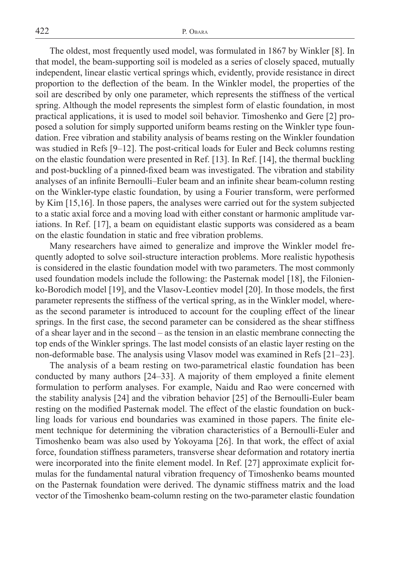The oldest, most frequently used model, was formulated in 1867 by Winkler [8]. In that model, the beam-supporting soil is modeled as a series of closely spaced, mutually independent, linear elastic vertical springs which, evidently, provide resistance in direct proportion to the deflection of the beam. In the Winkler model, the properties of the soil are described by only one parameter, which represents the stiffness of the vertical spring. Although the model represents the simplest form of elastic foundation, in most practical applications, it is used to model soil behavior. Timoshenko and Gere [2] proposed a solution for simply supported uniform beams resting on the Winkler type foundation. Free vibration and stability analysis of beams resting on the Winkler foundation was studied in Refs [9–12]. The post-critical loads for Euler and Beck columns resting on the elastic foundation were presented in Ref. [13]. In Ref. [14], the thermal buckling and post-buckling of a pinned-fixed beam was investigated. The vibration and stability analyses of an infinite Bernoulli–Euler beam and an infinite shear beam-column resting on the Winkler-type elastic foundation, by using a Fourier transform, were performed by Kim [15,16]. In those papers, the analyses were carried out for the system subjected to a static axial force and a moving load with either constant or harmonic amplitude variations. In Ref. [17], a beam on equidistant elastic supports was considered as a beam on the elastic foundation in static and free vibration problems.

Many researchers have aimed to generalize and improve the Winkler model frequently adopted to solve soil-structure interaction problems. More realistic hypothesis is considered in the elastic foundation model with two parameters. The most commonly used foundation models include the following: the Pasternak model [18], the Filonienko-Borodich model [19], and the Vlasov-Leontiev model [20]. In those models, the first parameter represents the stiffness of the vertical spring, as in the Winkler model, whereas the second parameter is introduced to account for the coupling effect of the linear springs. In the first case, the second parameter can be considered as the shear stiffness of a shear layer and in the second – as the tension in an elastic membrane connecting the top ends of the Winkler springs. The last model consists of an elastic layer resting on the non-deformable base. The analysis using Vlasov model was examined in Refs [21–23].

The analysis of a beam resting on two-parametrical elastic foundation has been conducted by many authors  $[24-33]$ . A majority of them employed a finite element formulation to perform analyses. For example, Naidu and Rao were concerned with the stability analysis [24] and the vibration behavior [25] of the Bernoulli-Euler beam resting on the modified Pasternak model. The effect of the elastic foundation on buckling loads for various end boundaries was examined in those papers. The finite element technique for determining the vibration characteristics of a Bernoulli-Euler and Timoshenko beam was also used by Yokoyama [26]. In that work, the effect of axial force, foundation stiffness parameters, transverse shear deformation and rotatory inertia were incorporated into the finite element model. In Ref. [27] approximate explicit formulas for the fundamental natural vibration frequency of Timoshenko beams mounted on the Pasternak foundation were derived. The dynamic stiffness matrix and the load vector of the Timoshenko beam-column resting on the two-parameter elastic foundation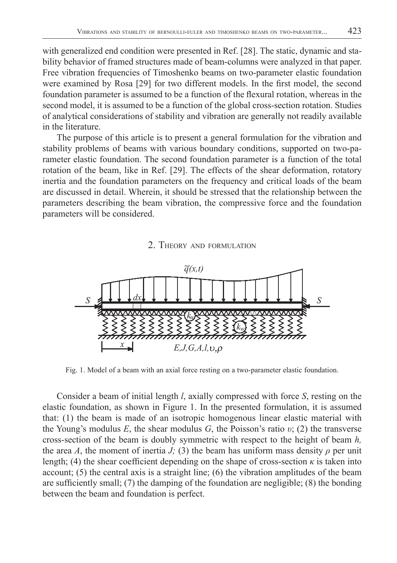with generalized end condition were presented in Ref. [28]. The static, dynamic and stability behavior of framed structures made of beam-columns were analyzed in that paper. Free vibration frequencies of Timoshenko beams on two-parameter elastic foundation were examined by Rosa  $[29]$  for two different models. In the first model, the second foundation parameter is assumed to be a function of the flexural rotation, whereas in the second model, it is assumed to be a function of the global cross-section rotation. Studies of analytical considerations of stability and vibration are generally not readily available in the literature.

The purpose of this article is to present a general formulation for the vibration and stability problems of beams with various boundary conditions, supported on two-parameter elastic foundation. The second foundation parameter is a function of the total rotation of the beam, like in Ref. [29]. The effects of the shear deformation, rotatory inertia and the foundation parameters on the frequency and critical loads of the beam are discussed in detail. Wherein, it should be stressed that the relationship between the parameters describing the beam vibration, the compressive force and the foundation parameters will be considered.





Fig. 1. Model of a beam with an axial force resting on a two-parameter elastic foundation.

Consider a beam of initial length *l*, axially compressed with force *S*, resting on the elastic foundation, as shown in Figure 1. In the presented formulation, it is assumed that: (1) the beam is made of an isotropic homogenous linear elastic material with the Young's modulus  $E$ , the shear modulus  $G$ , the Poisson's ratio  $v$ ; (2) the transverse cross-section of the beam is doubly symmetric with respect to the height of beam *h,* the area *A*, the moment of inertia *J*; (3) the beam has uniform mass density  $\rho$  per unit length; (4) the shear coefficient depending on the shape of cross-section  $\kappa$  is taken into account; (5) the central axis is a straight line; (6) the vibration amplitudes of the beam are sufficiently small;  $(7)$  the damping of the foundation are negligible;  $(8)$  the bonding between the beam and foundation is perfect.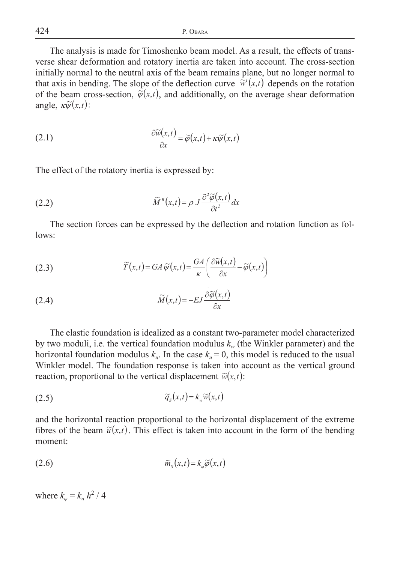The analysis is made for Timoshenko beam model. As a result, the effects of transverse shear deformation and rotatory inertia are taken into account. The cross-section initially normal to the neutral axis of the beam remains plane, but no longer normal to that axis in bending. The slope of the deflection curve  $\tilde{w}'(x,t)$  depends on the rotation of the beam cross-section,  $\phi(x,t)$ , and additionally, on the average shear deformation angle,  $\kappa \widetilde{\psi}(x,t)$ :

(2.1) 
$$
\frac{\partial \widetilde{w}(x,t)}{\partial x} = \widetilde{\varphi}(x,t) + \kappa \widetilde{\psi}(x,t)
$$

The effect of the rotatory inertia is expressed by:

(2.2) 
$$
\widetilde{M}^{B}(x,t) = \rho J \frac{\partial^{2} \widetilde{\varphi}(x,t)}{\partial t^{2}} dx
$$

The section forces can be expressed by the deflection and rotation function as follows:

(2.3) 
$$
\widetilde{T}(x,t) = GA \widetilde{\psi}(x,t) = \frac{GA}{\kappa} \left( \frac{\partial \widetilde{w}(x,t)}{\partial x} - \widetilde{\varphi}(x,t) \right)
$$

(2.4) 
$$
\widetilde{M}(x,t) = -EJ \frac{\partial \widetilde{\varphi}(x,t)}{\partial x}
$$

The elastic foundation is idealized as a constant two-parameter model characterized by two moduli, i.e. the vertical foundation modulus  $k_w$  (the Winkler parameter) and the horizontal foundation modulus  $k<sub>u</sub>$ . In the case  $k<sub>u</sub> = 0$ , this model is reduced to the usual Winkler model. The foundation response is taken into account as the vertical ground reaction, proportional to the vertical displacement  $\tilde{w}(x,t)$ :

$$
\widetilde{q}_s(x,t) = k_w \widetilde{w}(x,t)
$$

and the horizontal reaction proportional to the horizontal displacement of the extreme fibres of the beam  $\tilde{u}(x,t)$ . This effect is taken into account in the form of the bending moment:

$$
\widetilde{m}_s(x,t) = k_\varphi \widetilde{\varphi}(x,t)
$$

where  $k_{\varphi} = k_u h^2 / 4$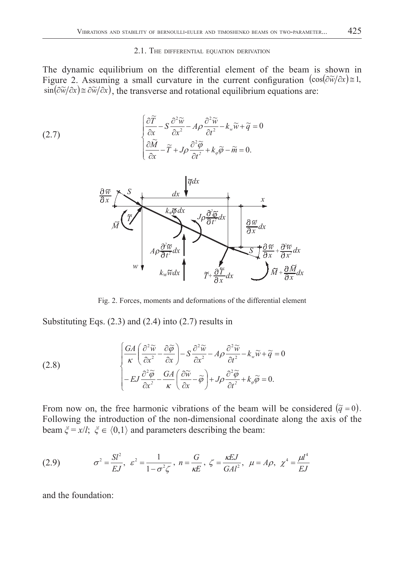#### 2.1. THE DIFFERENTIAL EQUATION DERIVATION

The dynamic equilibrium on the differential element of the beam is shown in Figure 2. Assuming a small curvature in the current configuration  $(cos(\partial \tilde{w}/\partial x)) \approx 1$ ,  $\sin(\frac{\partial \widetilde{w}}{\partial x}) \approx \frac{\partial \widetilde{w}}{\partial x}$ , the transverse and rotational equilibrium equations are:

(2.7) 
$$
\begin{cases} \frac{\partial \widetilde{T}}{\partial x} - S \frac{\partial^2 \widetilde{w}}{\partial x^2} - A \rho \frac{\partial^2 \widetilde{w}}{\partial t^2} - k_w \widetilde{w} + \widetilde{q} = 0 \\ \frac{\partial \widetilde{M}}{\partial x} - \widetilde{T} + J \rho \frac{\partial^2 \widetilde{\varphi}}{\partial t^2} + k_\varphi \widetilde{\varphi} - \widetilde{m} = 0. \end{cases}
$$



Fig. 2. Forces, moments and deformations of the differential element

Substituting Eqs. (2.3) and (2.4) into (2.7) results in

(2.8)  
\n
$$
\begin{cases}\n\frac{G A}{\kappa} \left( \frac{\partial^2 \widetilde{w}}{\partial x^2} - \frac{\partial \widetilde{\varphi}}{\partial x} \right) - S \frac{\partial^2 \widetilde{w}}{\partial x^2} - A \rho \frac{\partial^2 \widetilde{w}}{\partial t^2} - k_w \widetilde{w} + \widetilde{q} = 0 \\
- E J \frac{\partial^2 \widetilde{\varphi}}{\partial x^2} - \frac{G A}{\kappa} \left( \frac{\partial \widetilde{w}}{\partial x} - \widetilde{\varphi} \right) + J \rho \frac{\partial^2 \widetilde{\varphi}}{\partial t^2} + k_\varphi \widetilde{\varphi} = 0.\n\end{cases}
$$

From now on, the free harmonic vibrations of the beam will be considered  $(\tilde{q} = 0)$ . Following the introduction of the non-dimensional coordinate along the axis of the beam  $\xi = x/l$ ;  $\xi \in \langle 0,1 \rangle$  and parameters describing the beam:

(2.9) 
$$
\sigma^2 = \frac{SI^2}{EJ}, \ \varepsilon^2 = \frac{1}{1 - \sigma^2 \zeta}, \ n = \frac{G}{\kappa E}, \ \zeta = \frac{\kappa EJ}{GAl^2}, \ \mu = A\rho, \ \chi^4 = \frac{\mu l^4}{EJ}
$$

and the foundation: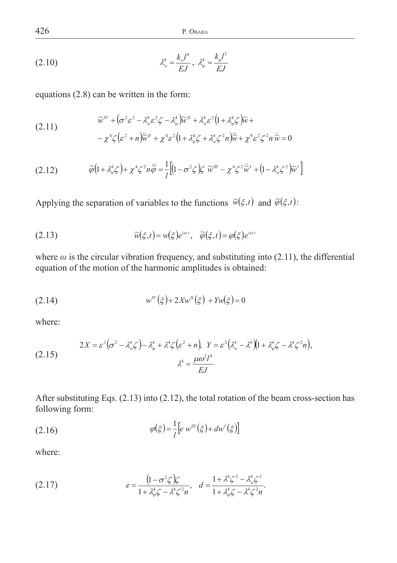426 P. OBARA

(2.10) 
$$
\lambda_w^4 = \frac{k_w l^4}{EJ}, \ \lambda_\varphi^4 = \frac{k_\varphi l^2}{EJ}
$$

equations (2.8) can be written in the form:

(2.11) 
$$
\widetilde{w}^{IV} + (\sigma^2 \varepsilon^2 - \lambda_w^4 \varepsilon^2 \zeta - \lambda_\varphi^4) \widetilde{w}^I + \lambda_w^4 \varepsilon^2 (1 + \lambda_\varphi^4 \zeta) \widetilde{w} +
$$

$$
- \chi^4 \zeta (\varepsilon^2 + n) \widetilde{\omega}^{II} + \chi^4 \varepsilon^2 (1 + \lambda_\varphi^4 \zeta + \lambda_w^4 \zeta^2 n) \widetilde{\omega} + \chi^8 \varepsilon^2 \zeta^2 n \widetilde{\omega} = 0
$$

$$
(2.12) \qquad \widetilde{\varphi}\left(1+\lambda_{\varphi}^{4}\zeta\right)+\chi^{4}\zeta^{2}n\ddot{\widetilde{\varphi}}=\frac{1}{l}\left[\left(1-\sigma^{2}\zeta\right)\zeta\widetilde{w}^{m}-\chi^{4}\zeta^{2}\ddot{\widetilde{w}}^{l}+\left(1-\lambda_{w}^{4}\zeta^{2}\right)\widetilde{w}^{l}\right]
$$

Applying the separation of variables to the functions  $\widetilde{w}(\xi,t)$  and  $\widetilde{\varphi}(\xi,t)$ :

(2.13) 
$$
\widetilde{w}(\xi,t) = w(\xi)e^{i\omega t}, \quad \widetilde{\varphi}(\xi,t) = \varphi(\xi)e^{i\omega t}
$$

where  $\omega$  is the circular vibration frequency, and substituting into (2.11), the differential equation of the motion of the harmonic amplitudes is obtained:

(2.14) 
$$
w^{IV}(\xi) + 2Xw^{I}(\xi) + Yw(\xi) = 0
$$

where:

$$
(2.15) \t\t 2X = \varepsilon^2 \big( \sigma^2 - \lambda_w^4 \zeta \big) - \lambda_\varphi^4 + \lambda^4 \zeta \big( \varepsilon^2 + n \big), \quad Y = \varepsilon^2 \big( \lambda_w^4 - \lambda^4 \big) \big( 1 + \lambda_\varphi^4 \zeta - \lambda^4 \zeta^2 n \big),
$$
  

$$
\lambda^4 = \frac{\mu \omega^2 l^4}{EJ}
$$

After substituting Eqs. (2.13) into (2.12), the total rotation of the beam cross-section has following form:

$$
\varphi(\xi) = \frac{1}{l} \left[ e \, w^{\prime \prime \prime}(\xi) + dw^{\prime}(\xi) \right]
$$

where:

(2.17) 
$$
e = \frac{\left(1 - \sigma^2 \zeta\right) \zeta}{1 + \lambda_{\phi}^4 \zeta - \lambda^4 \zeta^2 n}, \quad d = \frac{1 + \lambda^4 \zeta^2 - \lambda_{\psi}^4 \zeta^2}{1 + \lambda_{\phi}^4 \zeta - \lambda^4 \zeta^2 n}.
$$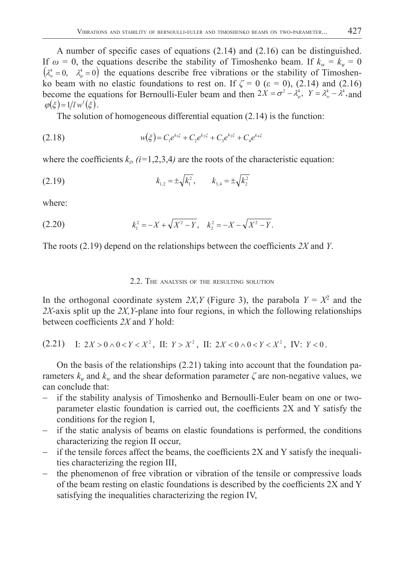A number of specific cases of equations  $(2.14)$  and  $(2.16)$  can be distinguished. If  $\omega = 0$ , the equations describe the stability of Timoshenko beam. If  $k_w = k_u = 0$  $(\lambda_w^4 = 0, \lambda_w^4 = 0)$  the equations describe free vibrations or the stability of Timoshenko beam with no elastic foundations to rest on. If  $\zeta = 0$  ( $\varepsilon = 0$ ), (2.14) and (2.16) become the equations for Bernoulli-Euler beam and then  $2X = \sigma^2 - \lambda_{\omega}^4$ ,  $Y = \lambda_{\omega}^4 - \lambda^4$ , and  $\varphi(\xi) = 1/l w^{l}(\xi)$ .

The solution of homogeneous differential equation (2.14) is the function:

(2.18) 
$$
w(\xi) = C_1 e^{k_1 \xi} + C_2 e^{k_2 \xi} + C_3 e^{k_3 \xi} + C_4 e^{k_4 \xi}
$$

where the coefficients  $k_i$ ,  $(i=1,2,3,4)$  are the roots of the characteristic equation:

(2.19) 
$$
k_{1,2} = \pm \sqrt{k_1^2}, \qquad k_{3,4} = \pm \sqrt{k_2^2}
$$

where:

(2.20) 
$$
k_1^2 = -X + \sqrt{X^2 - Y}, \quad k_2^2 = -X - \sqrt{X^2 - Y}.
$$

The roots (2.19) depend on the relationships between the coefficients 2X and *Y*.

## 2.2. THE ANALYSIS OF THE RESULTING SOLUTION

In the orthogonal coordinate system 2X, *Y* (Figure 3), the parabola  $Y = X^2$  and the *2X*-axis split up the *2X,Y*-plane into four regions, in which the following relationships between coefficients 2X and Y hold:

$$
(2.21) \quad \text{I: } 2X > 0 \land 0 < Y < X^2 \,, \text{ II: } Y > X^2 \,, \text{ II: } 2X < 0 \land 0 < Y < X^2 \,, \text{ IV: } Y < 0 \,.
$$

On the basis of the relationships (2.21) taking into account that the foundation parameters  $k_u$  and  $k_w$  and the shear deformation parameter  $\zeta$  are non-negative values, we can conclude that:

- if the stability analysis of Timoshenko and Bernoulli-Euler beam on one or twoparameter elastic foundation is carried out, the coefficients  $2X$  and Y satisfy the conditions for the region I,
- if the static analysis of beams on elastic foundations is performed, the conditions characterizing the region II occur,
- $\overline{\phantom{a}}$  if the tensile forces affect the beams, the coefficients 2X and Y satisfy the inequalities characterizing the region III,
- $-$  the phenomenon of free vibration or vibration of the tensile or compressive loads of the beam resting on elastic foundations is described by the coefficients  $2X$  and Y satisfying the inequalities characterizing the region IV,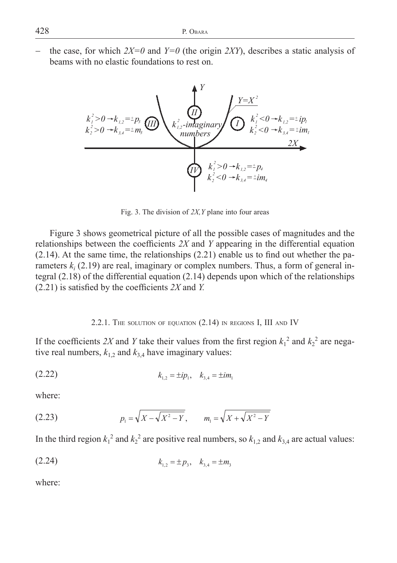the case, for which  $2X=0$  and  $Y=0$  (the origin *2XY*), describes a static analysis of beams with no elastic foundations to rest on.



Fig. 3. The division of *2X,Y* plane into four areas

Figure 3 shows geometrical picture of all the possible cases of magnitudes and the relationships between the coefficients  $2X$  and  $Y$  appearing in the differential equation  $(2.14)$ . At the same time, the relationships  $(2.21)$  enable us to find out whether the parameters  $k_i$  (2.19) are real, imaginary or complex numbers. Thus, a form of general integral (2.18) of the differential equation (2.14) depends upon which of the relationships  $(2.21)$  is satisfied by the coefficients  $2X$  and *Y*.

### 2.2.1. THE SOLUTION OF EQUATION (2.14) IN REGIONS I, III AND IV

If the coefficients 2X and Y take their values from the first region  $k_1^2$  and  $k_2^2$  are negative real numbers,  $k_{1,2}$  and  $k_{3,4}$  have imaginary values:

$$
(2.22) \t\t k_{1,2} = \pm i p_1, \quad k_{3,4} = \pm i m_1
$$

where:

(2.23) 
$$
p_1 = \sqrt{X - \sqrt{X^2 - Y}}, \qquad m_1 = \sqrt{X + \sqrt{X^2 - Y}}
$$

In the third region  $k_1^2$  and  $k_2^2$  are positive real numbers, so  $k_{1,2}$  and  $k_{3,4}$  are actual values:

$$
(2.24) \t\t k_{1,2} = \pm p_3, \quad k_{3,4} = \pm m_3
$$

where: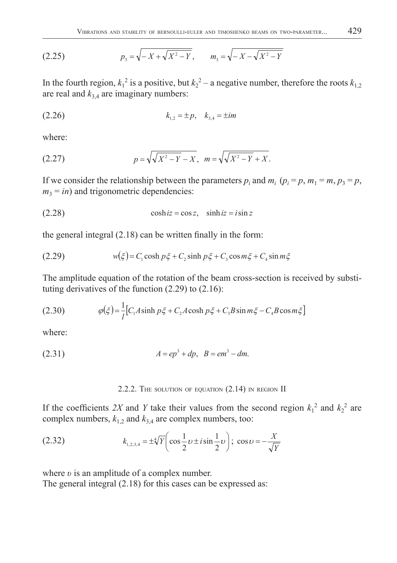(2.25) 
$$
p_3 = \sqrt{-X + \sqrt{X^2 - Y}}, \qquad m_3 = \sqrt{-X - \sqrt{X^2 - Y}}
$$

In the fourth region,  $k_1^2$  is a positive, but  $k_2^2$  – a negative number, therefore the roots  $k_{1,2}$ are real and  $k_{3,4}$  are imaginary numbers:

$$
(2.26) \t\t k_{1,2} = \pm p, \quad k_{3,4} = \pm im
$$

where:

(2.27) 
$$
p = \sqrt{\sqrt{X^2 - Y} - X}, \ \ m = \sqrt{\sqrt{X^2 - Y} + X}.
$$

If we consider the relationship between the parameters  $p_i$  and  $m_i$  ( $p_i = p$ ,  $m_1 = m$ ,  $p_3 = p$ ,  $m_3 = in$ ) and trigonometric dependencies:

$$
(2.28) \t\t \cosh iz = \cos z, \t \sinh iz = i \sin z
$$

the general integral  $(2.18)$  can be written finally in the form:

(2.29) 
$$
w(\xi) = C_1 \cosh p\xi + C_2 \sinh p\xi + C_3 \cos m\xi + C_4 \sin m\xi
$$

The amplitude equation of the rotation of the beam cross-section is received by substituting derivatives of the function  $(2.29)$  to  $(2.16)$ :

(2.30) 
$$
\varphi(\xi) = \frac{1}{l} [C_1 A \sinh p \xi + C_2 A \cosh p \xi + C_3 B \sin m \xi - C_4 B \cos m \xi]
$$

where:

(2.31) 
$$
A = ep^3 + dp, B = em^3 - dm.
$$

### 2.2.2. THE SOLUTION OF EQUATION (2.14) IN REGION II

If the coefficients 2X and Y take their values from the second region  $k_1^2$  and  $k_2^2$  are complex numbers,  $k_{1,2}$  and  $k_{3,4}$  are complex numbers, too:

(2.32) 
$$
k_{1,2,3,4} = \pm \sqrt[4]{Y} \left( \cos \frac{1}{2} \nu \pm i \sin \frac{1}{2} \nu \right); \cos \nu = -\frac{X}{\sqrt{Y}}
$$

where *υ* is an amplitude of a complex number.

The general integral (2.18) for this cases can be expressed as: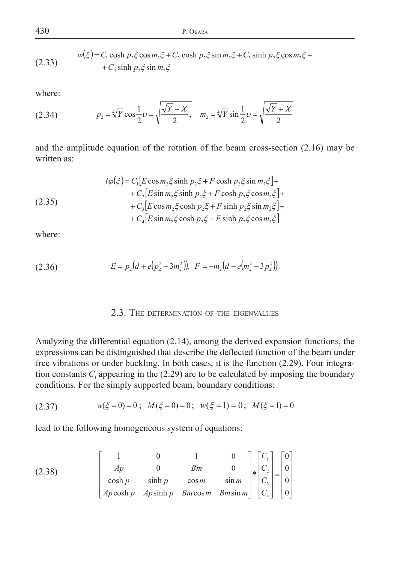430 P. OBARA

(2.33) 
$$
w(\xi) = C_1 \cosh p_2 \xi \cos m_2 \xi + C_2 \cosh p_2 \xi \sin m_2 \xi + C_3 \sinh p_2 \xi \cos m_2 \xi + C_4 \sinh p_2 \xi \sin m_2 \xi
$$

where:

(2.34) 
$$
p_2 = \sqrt[4]{Y} \cos \frac{1}{2} \upsilon = \sqrt{\frac{\sqrt{Y} - X}{2}}, \quad m_2 = \sqrt[4]{Y} \sin \frac{1}{2} \upsilon = \sqrt{\frac{\sqrt{Y} + X}{2}}
$$

and the amplitude equation of the rotation of the beam cross-section (2.16) may be written as:

(2.35)  
\n
$$
l\varphi(\xi) = C_1 [E \cos m_2 \xi \sinh p_2 \xi + F \cosh p_2 \xi \sin m_2 \xi] +
$$
\n
$$
+ C_2 [E \sin m_2 \xi \sinh p_2 \xi + F \cosh p_2 \xi \cos m_2 \xi] +
$$
\n
$$
+ C_3 [E \cos m_2 \xi \cosh p_2 \xi + F \sinh p_2 \xi \sin m_2 \xi] +
$$
\n
$$
+ C_4 [E \sin m_2 \xi \cosh p_2 \xi + F \sinh p_2 \xi \cos m_2 \xi]
$$

where:

(2.36) 
$$
E = p_2(d + e(p_2^2 - 3m_2^2)), \quad F = -m_2(d - e(m_2^2 - 3p_2^2)).
$$

## 2.3. THE DETERMINATION OF THE EIGENVALUES

Analyzing the differential equation (2.14), among the derived expansion functions, the expressions can be distinguished that describe the deflected function of the beam under free vibrations or under buckling. In both cases, it is the function (2.29). Four integration constants  $C_i$  appearing in the (2.29) are to be calculated by imposing the boundary conditions. For the simply supported beam, boundary conditions:

$$
(2.37) \t w(\xi = 0) = 0; \t M(\xi = 0) = 0; \t w(\xi = 1) = 0; \t M(\xi = 1) = 0
$$

lead to the following homogeneous system of equations:

(2.38) 
$$
\begin{bmatrix} 1 & 0 & 1 & 0 \ AB & 0 & BA \ C_2 \ cosh p & \sinh p & \cos m & \sin m \ AB \end{bmatrix} \begin{bmatrix} C_1 \\ C_2 \\ C_3 \\ C_4 \end{bmatrix} = \begin{bmatrix} 0 \\ 0 \\ 0 \\ 0 \end{bmatrix}
$$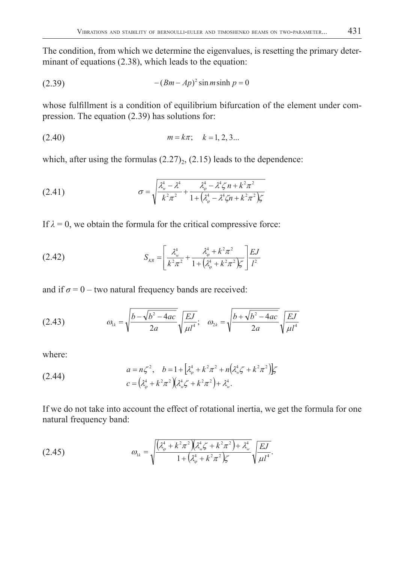The condition, from which we determine the eigenvalues, is resetting the primary determinant of equations (2.38), which leads to the equation:

$$
(2.39) \qquad \qquad -(Bm - Ap)^2 \sin m \sinh p = 0
$$

whose fulfillment is a condition of equilibrium bifurcation of the element under compression. The equation (2.39) has solutions for:

$$
(2.40) \t\t m = k\pi; \t k = 1, 2, 3...
$$

which, after using the formulas  $(2.27)_2$ ,  $(2.15)$  leads to the dependence:

(2.41) 
$$
\sigma = \sqrt{\frac{\lambda_w^4 - \lambda^4}{k^2 \pi^2} + \frac{\lambda_{\varphi}^4 - \lambda^4 \zeta n + k^2 \pi^2}{1 + (\lambda_{\varphi}^4 - \lambda^4 \zeta n + k^2 \pi^2)\zeta}}
$$

If  $\lambda = 0$ , we obtain the formula for the critical compressive force:

(2.42) 
$$
S_{KR} = \left[ \frac{\lambda_w^4}{k^2 \pi^2} + \frac{\lambda_\varphi^4 + k^2 \pi^2}{1 + (\lambda_\varphi^4 + k^2 \pi^2) \zeta} \right] \frac{EJ}{l^2}
$$

and if  $\sigma = 0$  – two natural frequency bands are received:

(2.43) 
$$
\omega_{1k} = \sqrt{\frac{b - \sqrt{b^2 - 4ac}}{2a}} \sqrt{\frac{EJ}{\mu l^4}}; \quad \omega_{2k} = \sqrt{\frac{b + \sqrt{b^2 - 4ac}}{2a}} \sqrt{\frac{EJ}{\mu l^4}}
$$

where:

(2.44) 
$$
a = n\zeta^2, \quad b = 1 + \left[\lambda_{\varphi}^4 + k^2\pi^2 + n(\lambda_{\omega}^4\zeta + k^2\pi^2)\right]\zeta
$$

$$
c = (\lambda_{\varphi}^4 + k^2\pi^2)(\lambda_{\omega}^4\zeta + k^2\pi^2) + \lambda_{\omega}^4.
$$

If we do not take into account the effect of rotational inertia, we get the formula for one natural frequency band:

(2.45) 
$$
\omega_{1k} = \sqrt{\frac{(\lambda_{\varphi}^4 + k^2 \pi^2)(\lambda_{\varphi}^4 \zeta + k^2 \pi^2) + \lambda_{\varphi}^4}{1 + (\lambda_{\varphi}^4 + k^2 \pi^2)\zeta}} \sqrt{\frac{EJ}{\mu I^4}}.
$$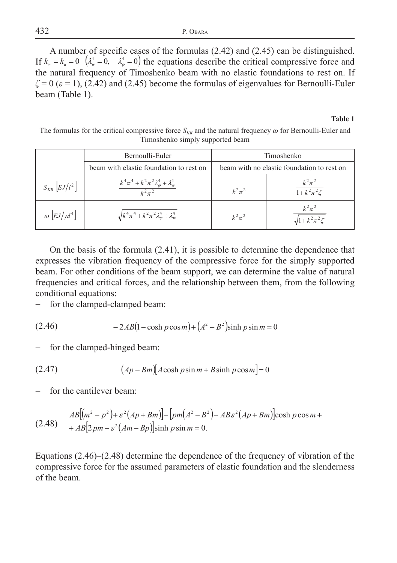A number of specific cases of the formulas  $(2.42)$  and  $(2.45)$  can be distinguished. If  $k_w = k_u = 0$   $(\lambda_w^4 = 0, \lambda_w^4 = 0)$  the equations describe the critical compressive force and the natural frequency of Timoshenko beam with no elastic foundations to rest on. If  $\zeta = 0$  ( $\varepsilon = 1$ ), (2.42) and (2.45) become the formulas of eigenvalues for Bernoulli-Euler beam (Table 1).

#### **Table 1**

The formulas for the critical compressive force  $S_{KR}$  and the natural frequency  $\omega$  for Bernoulli-Euler and Timoshenko simply supported beam

|                                         | Bernoulli-Euler                                                            | Timoshenko                                 |                                        |
|-----------------------------------------|----------------------------------------------------------------------------|--------------------------------------------|----------------------------------------|
| beam with elastic foundation to rest on |                                                                            | beam with no elastic foundation to rest on |                                        |
| $S_{KR}$ $\left[ EJ/l^2 \right]$        | $k^4 \pi^4 + k^2 \pi^2 \lambda_{\varphi}^4 + \lambda_{w}^4$<br>$k^2 \pi^2$ | $k^2\pi^2$                                 | $\frac{k^2\pi^2}{1+k^2\pi^2\zeta}$     |
| $\omega$ $\left[ EJ/\mu l^4 \right]$    | $\sqrt{k^4 \pi^4 + k^2 \pi^2 \lambda_{\varphi}^4 + \lambda_{w}^4}$         | $k^2\pi^2$                                 | $k^2\pi^2$<br>$\sqrt{1+k^2\pi^2\zeta}$ |

On the basis of the formula (2.41), it is possible to determine the dependence that expresses the vibration frequency of the compressive force for the simply supported beam. For other conditions of the beam support, we can determine the value of natural frequencies and critical forces, and the relationship between them, from the following conditional equations:

- for the clamped-clamped beam:

(2.46) 
$$
-2AB(1-\cosh p\cos m) + (A^2 - B^2)\sinh p\sin m = 0
$$

for the clamped-hinged beam:

$$
(2.47) \qquad (Ap - Bm)[A \cosh p \sin m + B \sinh p \cos m] = 0
$$

for the cantilever beam:

$$
AB[(m2 - p2) + \varepsilon2 (Ap + Bm)] - [pm(A2 - B2) + AB\varepsilon2 (Ap + Bm)]\cosh p \cos m ++ AB[2pm - \varepsilon2 (Am - Bp)]\sinh p \sin m = 0.
$$

Equations (2.46)–(2.48) determine the dependence of the frequency of vibration of the compressive force for the assumed parameters of elastic foundation and the slenderness of the beam.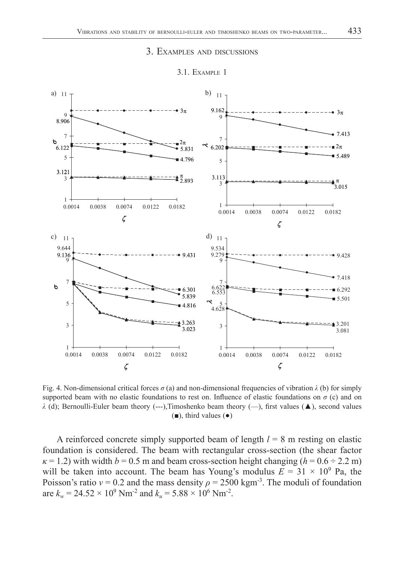## 3. EXAMPLES AND DISCUSSIONS



#### 3.1. EXAMPLE 1

Fig. 4. Non-dimensional critical forces  $\sigma$  (a) and non-dimensional frequencies of vibration  $\lambda$  (b) for simply supported beam with no elastic foundations to rest on. Influence of elastic foundations on  $\sigma$  (c) and on  $\lambda$  (d); Bernoulli-Euler beam theory (---),Timoshenko beam theory (--), first values ( $\blacktriangle$ ), second values  $(\blacksquare)$ , third values  $(\lozenge)$ 

A reinforced concrete simply supported beam of length *l* = 8 m resting on elastic foundation is considered. The beam with rectangular cross-section (the shear factor  $\kappa$  = 1.2) with width *b* = 0.5 m and beam cross-section height changing ( $h$  = 0.6 ÷ 2.2 m) will be taken into account. The beam has Young's modulus  $E = 31 \times 10^9$  Pa, the Poisson's ratio  $v = 0.2$  and the mass density  $\rho = 2500 \text{ kgm}^3$ . The moduli of foundation are  $k_w = 24.52 \times 10^9$  Nm<sup>-2</sup> and  $k_u = 5.88 \times 10^6$  Nm<sup>-2</sup>.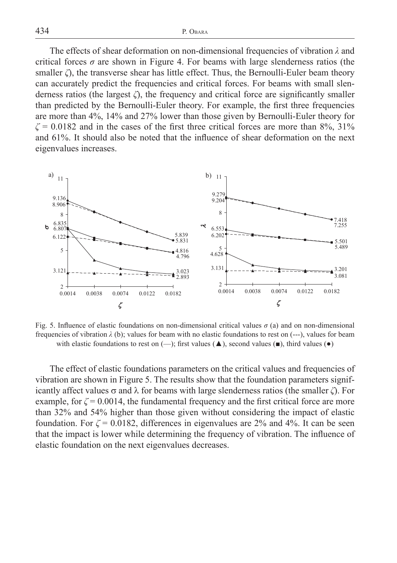434 P. OBARA

The effects of shear deformation on non-dimensional frequencies of vibration *λ* and critical forces  $\sigma$  are shown in Figure 4. For beams with large slenderness ratios (the smaller  $\zeta$ , the transverse shear has little effect. Thus, the Bernoulli-Euler beam theory can accurately predict the frequencies and critical forces. For beams with small slenderness ratios (the largest  $\zeta$ ), the frequency and critical force are significantly smaller than predicted by the Bernoulli-Euler theory. For example, the first three frequencies are more than 4%, 14% and 27% lower than those given by Bernoulli-Euler theory for  $\zeta$  = 0.0182 and in the cases of the first three critical forces are more than 8%, 31% and 61%. It should also be noted that the influence of shear deformation on the next eigenvalues increases.



Fig. 5. Influence of elastic foundations on non-dimensional critical values  $\sigma$  (a) and on non-dimensional frequencies of vibration  $\lambda$  (b); values for beam with no elastic foundations to rest on  $(-\cdot)$ , values for beam with elastic foundations to rest on  $(-)$ ; first values ( $\blacktriangle$ ), second values ( $\blacktriangleright$ ), third values ( $\blacktriangleright$ )

The effect of elastic foundations parameters on the critical values and frequencies of vibration are shown in Figure 5. The results show that the foundation parameters significantly affect values  $\sigma$  and  $\lambda$  for beams with large slenderness ratios (the smaller  $\zeta$ ). For example, for  $\zeta = 0.0014$ , the fundamental frequency and the first critical force are more than 32% and 54% higher than those given without considering the impact of elastic foundation. For  $\zeta = 0.0182$ , differences in eigenvalues are 2% and 4%. It can be seen that the impact is lower while determining the frequency of vibration. The influence of elastic foundation on the next eigenvalues decreases.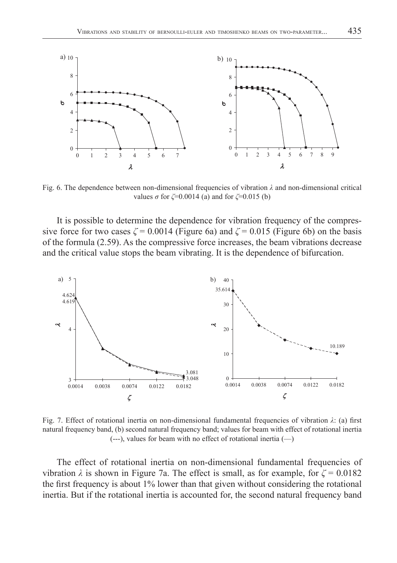

Fig. 6. The dependence between non-dimensional frequencies of vibration *λ* and non-dimensional critical values *σ* for *ζ*=0.0014 (a) and for *ζ*=0.015 (b)

It is possible to determine the dependence for vibration frequency of the compressive force for two cases  $\zeta = 0.0014$  (Figure 6a) and  $\zeta = 0.015$  (Figure 6b) on the basis of the formula (2.59). As the compressive force increases, the beam vibrations decrease and the critical value stops the beam vibrating. It is the dependence of bifurcation.



Fig. 7. Effect of rotational inertia on non-dimensional fundamental frequencies of vibration λ: (a) first natural frequency band, (b) second natural frequency band; values for beam with effect of rotational inertia  $(--)$ , values for beam with no effect of rotational inertia  $(-)$ 

The effect of rotational inertia on non-dimensional fundamental frequencies of vibration  $\lambda$  is shown in Figure 7a. The effect is small, as for example, for  $\zeta = 0.0182$ the first frequency is about  $1\%$  lower than that given without considering the rotational inertia. But if the rotational inertia is accounted for, the second natural frequency band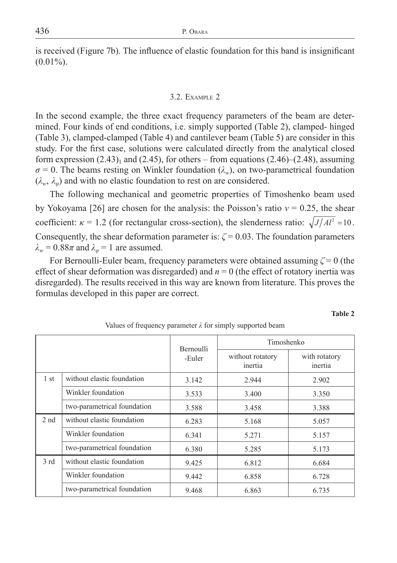is received (Figure 7b). The influence of elastic foundation for this band is insignificant  $(0.01\%)$ .

### 3.2. EXAMPLE 2

In the second example, the three exact frequency parameters of the beam are determined. Four kinds of end conditions, i.e. simply supported (Table 2), clamped- hinged (Table 3), clamped-clamped (Table 4) and cantilever beam (Table 5) are consider in this study. For the first case, solutions were calculated directly from the analytical closed form expression  $(2.43)$ <sub>1</sub> and  $(2.45)$ , for others – from equations  $(2.46)$ – $(2.48)$ , assuming  $\sigma$  = 0. The beams resting on Winkler foundation ( $\lambda_w$ ), on two-parametrical foundation  $(\lambda_w, \lambda_\varphi)$  and with no elastic foundation to rest on are considered.

The following mechanical and geometric properties of Timoshenko beam used by Yokoyama [26] are chosen for the analysis: the Poisson's ratio *ν* = 0.25, the shear coefficient:  $\kappa = 1.2$  (for rectangular cross-section), the slenderness ratio:  $\sqrt{J/A l^2} = 10$ . Consequently, the shear deformation parameter is:  $\zeta = 0.03$ . The foundation parameters  $\lambda_w = 0.88\pi$  and  $\lambda_\omega = 1$  are assumed.

For Bernoulli-Euler beam, frequency parameters were obtained assuming *ζ* = 0 (the effect of shear deformation was disregarded) and *n* = 0 (the effect of rotatory inertia was disregarded). The results received in this way are known from literature. This proves the formulas developed in this paper are correct.

**Table 2**

|                 |                             | <b>Bernoulli</b><br>-Euler | Timoshenko                  |                          |
|-----------------|-----------------------------|----------------------------|-----------------------------|--------------------------|
|                 |                             |                            | without rotatory<br>inertia | with rotatory<br>inertia |
| 1 <sub>st</sub> | without elastic foundation  | 3.142                      | 2.944                       | 2.902                    |
|                 | Winkler foundation          | 3.533                      | 3.400                       | 3.350                    |
|                 | two-parametrical foundation | 3.588                      | 3.458                       | 3.388                    |
| 2 <sub>nd</sub> | without elastic foundation  | 6.283                      | 5.168                       | 5.057                    |
|                 | Winkler foundation          | 6.341                      | 5.271                       | 5.157                    |
|                 | two-parametrical foundation | 6.380                      | 5.285                       | 5.173                    |
| 3rd             | without elastic foundation  | 9.425                      | 6.812                       | 6.684                    |
|                 | Winkler foundation          | 9.442                      | 6.858                       | 6.728                    |
|                 | two-parametrical foundation | 9.468                      | 6.863                       | 6.735                    |

Values of frequency parameter *λ* for simply supported beam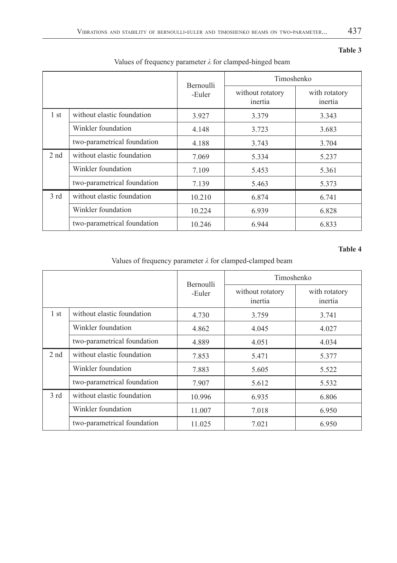**Table 3**

|                 |                             | <b>Bernoulli</b><br>-Euler | Timoshenko                  |                          |
|-----------------|-----------------------------|----------------------------|-----------------------------|--------------------------|
|                 |                             |                            | without rotatory<br>inertia | with rotatory<br>inertia |
| 1 <sub>st</sub> | without elastic foundation  | 3.927                      | 3.379                       | 3.343                    |
|                 | Winkler foundation          | 4.148                      | 3.723                       | 3.683                    |
|                 | two-parametrical foundation | 4.188                      | 3.743                       | 3.704                    |
| 2 <sub>nd</sub> | without elastic foundation  | 7.069                      | 5.334                       | 5.237                    |
|                 | Winkler foundation          | 7.109                      | 5.453                       | 5.361                    |
|                 | two-parametrical foundation | 7.139                      | 5.463                       | 5.373                    |
| 3rd             | without elastic foundation  | 10.210                     | 6.874                       | 6.741                    |
|                 | Winkler foundation          | 10.224                     | 6.939                       | 6.828                    |
|                 | two-parametrical foundation | 10.246                     | 6.944                       | 6.833                    |

# Values of frequency parameter *λ* for clamped-hinged beam

### **Table 4**

Values of frequency parameter *λ* for clamped-clamped beam

|                 |                             | <b>Bernoulli</b><br>-Euler | Timoshenko                  |                          |
|-----------------|-----------------------------|----------------------------|-----------------------------|--------------------------|
|                 |                             |                            | without rotatory<br>inertia | with rotatory<br>inertia |
| 1 <sub>st</sub> | without elastic foundation  | 4.730                      | 3.759                       | 3.741                    |
|                 | Winkler foundation          | 4.862                      | 4.045                       | 4.027                    |
|                 | two-parametrical foundation | 4.889                      | 4.051                       | 4.034                    |
| 2 <sub>nd</sub> | without elastic foundation  | 7.853                      | 5.471                       | 5.377                    |
|                 | Winkler foundation          | 7.883                      | 5.605                       | 5.522                    |
|                 | two-parametrical foundation | 7.907                      | 5.612                       | 5.532                    |
| 3rd             | without elastic foundation  | 10.996                     | 6.935                       | 6.806                    |
|                 | Winkler foundation          | 11.007                     | 7.018                       | 6.950                    |
|                 | two-parametrical foundation | 11.025                     | 7.021                       | 6.950                    |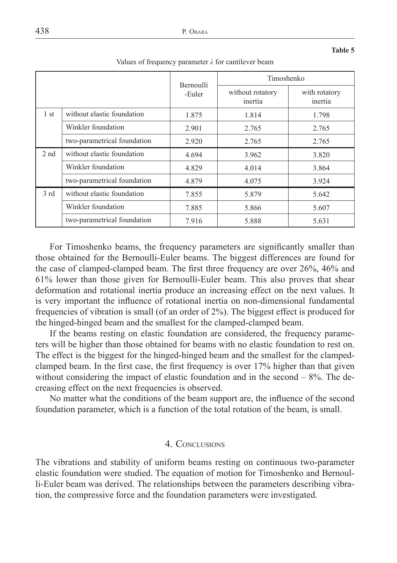|                 |                             | <b>Bernoulli</b><br>-Euler | Timoshenko                  |                          |
|-----------------|-----------------------------|----------------------------|-----------------------------|--------------------------|
|                 |                             |                            | without rotatory<br>inertia | with rotatory<br>inertia |
| 1 <sub>st</sub> | without elastic foundation  | 1.875                      | 1.814                       | 1.798                    |
|                 | Winkler foundation          | 2.901                      | 2.765                       | 2.765                    |
|                 | two-parametrical foundation | 2.920                      | 2.765                       | 2.765                    |
| 2 <sub>nd</sub> | without elastic foundation  | 4.694                      | 3.962                       | 3.820                    |
|                 | Winkler foundation          | 4.829                      | 4.014                       | 3.864                    |
|                 | two-parametrical foundation | 4.879                      | 4.075                       | 3.924                    |
| 3rd             | without elastic foundation  | 7.855                      | 5.879                       | 5.642                    |
|                 | Winkler foundation          | 7.885                      | 5.866                       | 5.607                    |
|                 | two-parametrical foundation | 7.916                      | 5.888                       | 5.631                    |

Values of frequency parameter *λ* for cantilever beam

For Timoshenko beams, the frequency parameters are significantly smaller than those obtained for the Bernoulli-Euler beams. The biggest differences are found for the case of clamped-clamped beam. The first three frequency are over 26%, 46% and 61% lower than those given for Bernoulli-Euler beam. This also proves that shear deformation and rotational inertia produce an increasing effect on the next values. It is very important the influence of rotational inertia on non-dimensional fundamental frequencies of vibration is small (of an order of 2%). The biggest effect is produced for the hinged-hinged beam and the smallest for the clamped-clamped beam.

If the beams resting on elastic foundation are considered, the frequency parameters will be higher than those obtained for beams with no elastic foundation to rest on. The effect is the biggest for the hinged-hinged beam and the smallest for the clampedclamped beam. In the first case, the first frequency is over 17% higher than that given without considering the impact of elastic foundation and in the second – 8%. The decreasing effect on the next frequencies is observed.

No matter what the conditions of the beam support are, the influence of the second foundation parameter, which is a function of the total rotation of the beam, is small.

## 4. CONCLUSIONS

The vibrations and stability of uniform beams resting on continuous two-parameter elastic foundation were studied. The equation of motion for Timoshenko and Bernoulli-Euler beam was derived. The relationships between the parameters describing vibration, the compressive force and the foundation parameters were investigated.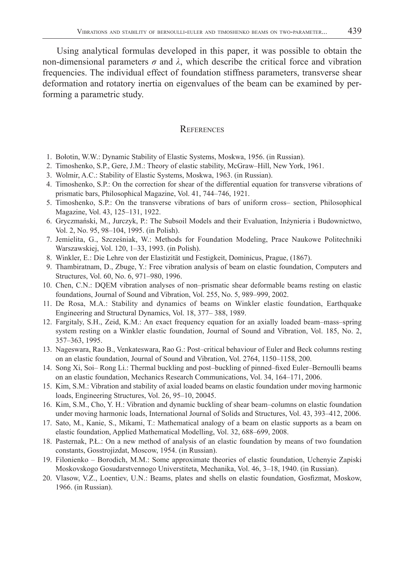Using analytical formulas developed in this paper, it was possible to obtain the non-dimensional parameters  $\sigma$  and  $\lambda$ , which describe the critical force and vibration frequencies. The individual effect of foundation stiffness parameters, transverse shear deformation and rotatory inertia on eigenvalues of the beam can be examined by performing a parametric study.

### **REFERENCES**

- 1. Bołotin, W.W.: Dynamic Stability of Elastic Systems, Moskwa, 1956. (in Russian).
- 2. Timoshenko, S.P., Gere, J.M.: Theory of elastic stability, McGraw–Hill, New York, 1961.
- 3. Wolmir, A.C.: Stability of Elastic Systems, Moskwa, 1963. (in Russian).
- 4. Timoshenko, S.P.: On the correction for shear of the differential equation for transverse vibrations of prismatic bars, Philosophical Magazine, Vol. 41, 744–746, 1921.
- 5. Timoshenko, S.P.: On the transverse vibrations of bars of uniform cross– section, Philosophical Magazine, Vol. 43, 125–131, 1922.
- 6. Gryczmański, M., Jurczyk, P.: The Subsoil Models and their Evaluation, Inżynieria i Budownictwo, Vol. 2, No. 95, 98–104, 1995. (in Polish).
- 7. Jemielita, G., Szcześniak, W.: Methods for Foundation Modeling, Prace Naukowe Politechniki Warszawskiej, Vol. 120, 1–33, 1993. (in Polish).
- 8. Winkler, E.: Die Lehre von der Elastizität und Festigkeit, Dominicus, Prague, (1867).
- 9. Thambiratnam, D., Zbuge, Y.: Free vibration analysis of beam on elastic foundation, Computers and Structures, Vol. 60, No. 6, 971–980, 1996.
- 10. Chen, C.N.: DQEM vibration analyses of non–prismatic shear deformable beams resting on elastic foundations, Journal of Sound and Vibration, Vol. 255, No. 5, 989–999, 2002.
- 11. De Rosa, M.A.: Stability and dynamics of beams on Winkler elastic foundation, Earthquake Engineering and Structural Dynamics, Vol. 18, 377– 388, 1989.
- 12. Fargitaly, S.H., Zeid, K.M.: An exact frequency equation for an axially loaded beam–mass–spring system resting on a Winkler elastic foundation, Journal of Sound and Vibration, Vol. 185, No. 2, 357–363, 1995.
- 13. Nageswara, Rao B., Venkateswara, Rao G.: Post–critical behaviour of Euler and Beck columns resting on an elastic foundation, Journal of Sound and Vibration, Vol. 2764, 1150–1158, 200.
- 14. Song Xi, Soi– Rong Li.: Thermal buckling and post–buckling of pinned–fixed Euler–Bernoulli beams on an elastic foundation, Mechanics Research Communications, Vol. 34, 164–171, 2006.
- 15. Kim, S.M.: Vibration and stability of axial loaded beams on elastic foundation under moving harmonic loads, Engineering Structures, Vol. 26, 95–10, 20045.
- 16. Kim, S.M., Cho, Y. H.: Vibration and dynamic buckling of shear beam–columns on elastic foundation under moving harmonic loads, International Journal of Solids and Structures, Vol. 43, 393–412, 2006.
- 17. Sato, M., Kanie, S., Mikami, T.: Mathematical analogy of a beam on elastic supports as a beam on elastic foundation, Applied Mathematical Modelling, Vol. 32, 688–699, 2008.
- 18. Pasternak, P.Ł.: On a new method of analysis of an elastic foundation by means of two foundation constants, Gosstrojizdat, Moscow, 1954. (in Russian).
- 19. Filonienko Borodich, M.M.: Some approximate theories of elastic foundation, Uchenyie Zapiski Moskovskogo Gosudarstvennogo Universtiteta, Mechanika, Vol. 46, 3–18, 1940. (in Russian).
- 20. Vlasow, V.Z., Loentiev, U.N.: Beams, plates and shells on elastic foundation, Gosfizmat, Moskow, 1966. (in Russian).